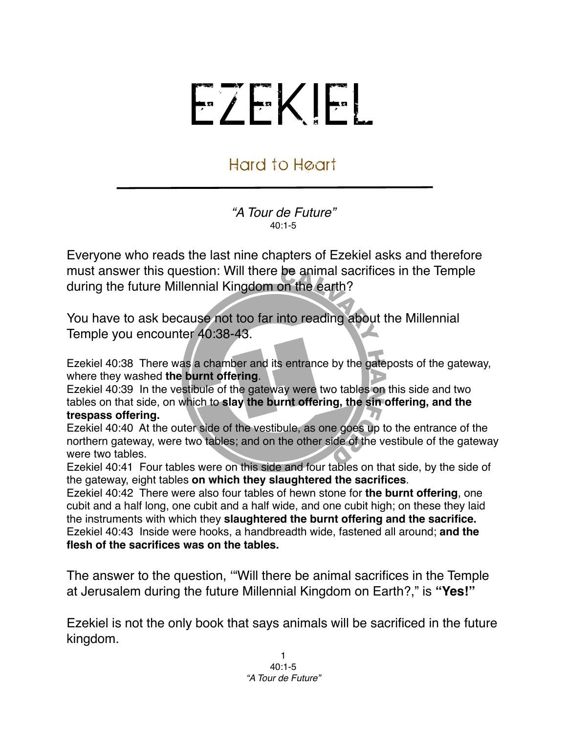## EZEKIEL

## Hard to Heart

*"A Tour de Future"*  $40:1 - 5$ 

Everyone who reads the last nine chapters of Ezekiel asks and therefore must answer this question: Will there be animal sacrifices in the Temple during the future Millennial Kingdom on the earth?

You have to ask because not too far into reading about the Millennial Temple you encounter 40:38-43.

Ezekiel 40:38 There was a chamber and its entrance by the gateposts of the gateway, where they washed **the burnt offering**.

Ezekiel 40:39 In the vestibule of the gateway were two tables on this side and two tables on that side, on which to **slay the burnt offering, the sin offering, and the trespass offering.**

Ezekiel 40:40 At the outer side of the vestibule, as one goes up to the entrance of the northern gateway, were two tables; and on the other side of the vestibule of the gateway were two tables.

Ezekiel 40:41 Four tables were on this side and four tables on that side, by the side of the gateway, eight tables **on which they slaughtered the sacrifices**.

Ezekiel 40:42 There were also four tables of hewn stone for **the burnt offering**, one cubit and a half long, one cubit and a half wide, and one cubit high; on these they laid the instruments with which they **slaughtered the burnt offering and the sacrifice.** Ezekiel 40:43 Inside were hooks, a handbreadth wide, fastened all around; **and the flesh of the sacrifices was on the tables.**

The answer to the question, ʻ"Will there be animal sacrifices in the Temple at Jerusalem during the future Millennial Kingdom on Earth?," is **"Yes!"**

Ezekiel is not the only book that says animals will be sacrificed in the future kingdom.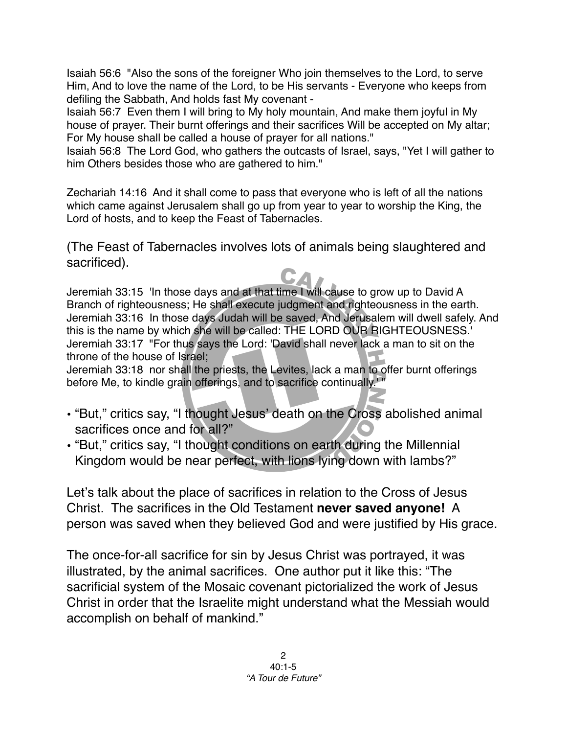Isaiah 56:6 "Also the sons of the foreigner Who join themselves to the Lord, to serve Him, And to love the name of the Lord, to be His servants - Everyone who keeps from defiling the Sabbath, And holds fast My covenant -

Isaiah 56:7 Even them I will bring to My holy mountain, And make them joyful in My house of prayer. Their burnt offerings and their sacrifices Will be accepted on My altar; For My house shall be called a house of prayer for all nations."

Isaiah 56:8 The Lord God, who gathers the outcasts of Israel, says, "Yet I will gather to him Others besides those who are gathered to him."

Zechariah 14:16 And it shall come to pass that everyone who is left of all the nations which came against Jerusalem shall go up from year to year to worship the King, the Lord of hosts, and to keep the Feast of Tabernacles.

(The Feast of Tabernacles involves lots of animals being slaughtered and sacrificed).

Jeremiah 33:15 'In those days and at that time I will cause to grow up to David A Branch of righteousness; He shall execute judgment and righteousness in the earth. Jeremiah 33:16 In those days Judah will be saved, And Jerusalem will dwell safely. And this is the name by which she will be called: THE LORD OUR RIGHTEOUSNESS.' Jeremiah 33:17 "For thus says the Lord: 'David shall never lack a man to sit on the throne of the house of Israel;

Jeremiah 33:18 nor shall the priests, the Levites, lack a man to offer burnt offerings before Me, to kindle grain offerings, and to sacrifice continually.<sup>1</sup>

- "But," critics say, "I thought Jesus' death on the Cross abolished animal sacrifices once and for all?"
- "But," critics say, "I thought conditions on earth during the Millennial Kingdom would be near perfect, with lions lying down with lambs?"

Let's talk about the place of sacrifices in relation to the Cross of Jesus Christ. The sacrifices in the Old Testament **never saved anyone!** A person was saved when they believed God and were justified by His grace.

The once-for-all sacrifice for sin by Jesus Christ was portrayed, it was illustrated, by the animal sacrifices. One author put it like this: "The sacrificial system of the Mosaic covenant pictorialized the work of Jesus Christ in order that the Israelite might understand what the Messiah would accomplish on behalf of mankind."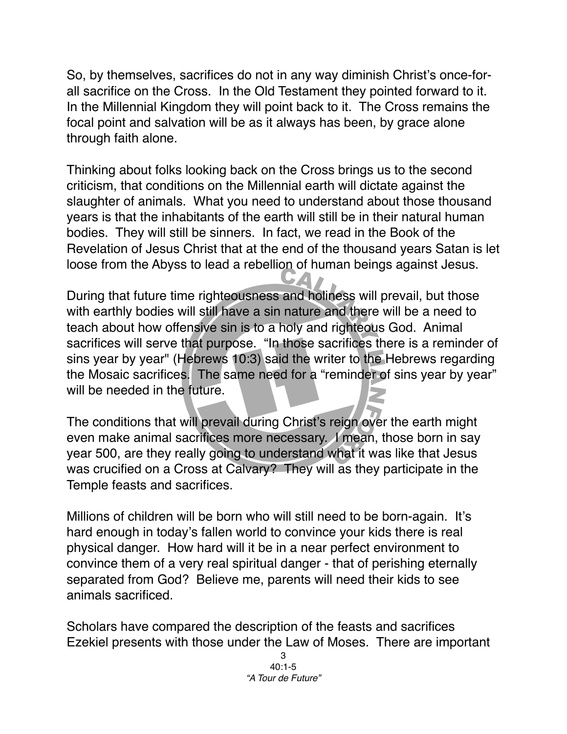So, by themselves, sacrifices do not in any way diminish Christ's once-forall sacrifice on the Cross. In the Old Testament they pointed forward to it. In the Millennial Kingdom they will point back to it. The Cross remains the focal point and salvation will be as it always has been, by grace alone through faith alone.

Thinking about folks looking back on the Cross brings us to the second criticism, that conditions on the Millennial earth will dictate against the slaughter of animals. What you need to understand about those thousand years is that the inhabitants of the earth will still be in their natural human bodies. They will still be sinners. In fact, we read in the Book of the Revelation of Jesus Christ that at the end of the thousand years Satan is let loose from the Abyss to lead a rebellion of human beings against Jesus.

During that future time righteousness and holiness will prevail, but those with earthly bodies will still have a sin nature and there will be a need to teach about how offensive sin is to a holy and righteous God. Animal sacrifices will serve that purpose. "In those sacrifices there is a reminder of sins year by year" [\(Hebrews 10:3\)](http://biblia.com/bible/niv/Hebrews%2010.3) said the writer to the Hebrews regarding the Mosaic sacrifices. The same need for a "reminder of sins year by year" will be needed in the future.

The conditions that will prevail during Christ's reign over the earth might even make animal sacrifices more necessary. I mean, those born in say year 500, are they really going to understand what it was like that Jesus was crucified on a Cross at Calvary? They will as they participate in the Temple feasts and sacrifices.

Millions of children will be born who will still need to be born-again. It's hard enough in today's fallen world to convince your kids there is real physical danger. How hard will it be in a near perfect environment to convince them of a very real spiritual danger - that of perishing eternally separated from God? Believe me, parents will need their kids to see animals sacrificed.

Scholars have compared the description of the feasts and sacrifices Ezekiel presents with those under the Law of Moses. There are important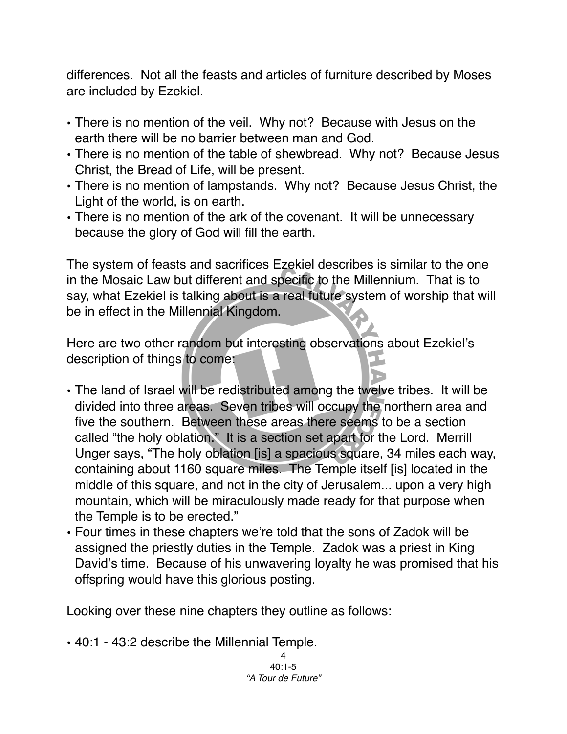differences. Not all the feasts and articles of furniture described by Moses are included by Ezekiel.

- There is no mention of the veil. Why not? Because with Jesus on the earth there will be no barrier between man and God.
- There is no mention of the table of shewbread. Why not? Because Jesus Christ, the Bread of Life, will be present.
- There is no mention of lampstands. Why not? Because Jesus Christ, the Light of the world, is on earth.
- There is no mention of the ark of the covenant. It will be unnecessary because the glory of God will fill the earth.

The system of feasts and sacrifices Ezekiel describes is similar to the one in the Mosaic Law but different and specific to the Millennium. That is to say, what Ezekiel is talking about is a real future system of worship that will be in effect in the Millennial Kingdom.

Here are two other random but interesting observations about Ezekiel's description of things to come:

- The land of Israel will be redistributed among the twelve tribes. It will be divided into three areas. Seven tribes will occupy the northern area and five the southern. Between these areas there seems to be a section called "the holy oblation." It is a section set apart for the Lord. Merrill Unger says, "The holy oblation [is] a spacious square, 34 miles each way, containing about 1160 square miles. The Temple itself [is] located in the middle of this square, and not in the city of Jerusalem... upon a very high mountain, which will be miraculously made ready for that purpose when the Temple is to be erected."
- Four times in these chapters we're told that the sons of Zadok will be assigned the priestly duties in the Temple. Zadok was a priest in King David's time. Because of his unwavering loyalty he was promised that his offspring would have this glorious posting.

Looking over these nine chapters they outline as follows:

• 40:1 - 43:2 describe the Millennial Temple.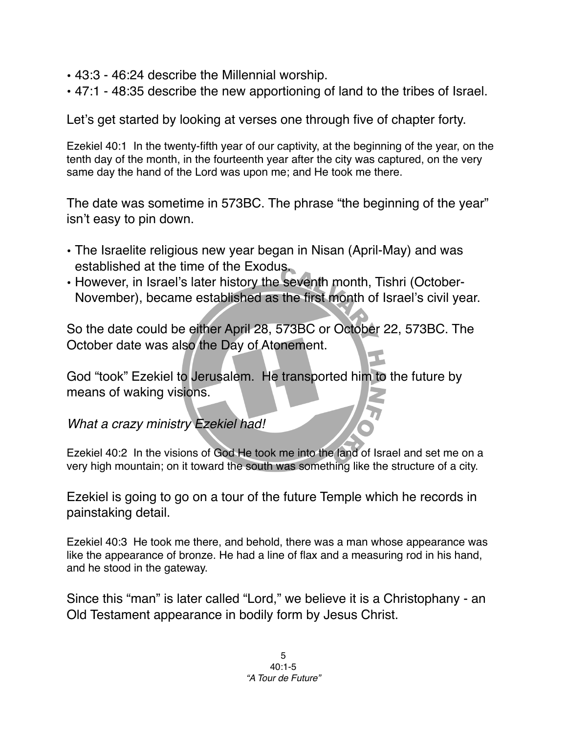- 43:3 46:24 describe the Millennial worship.
- 47:1 48:35 describe the new apportioning of land to the tribes of Israel.

Let's get started by looking at verses one through five of chapter forty.

Ezekiel 40:1 In the twenty-fifth year of our captivity, at the beginning of the year, on the tenth day of the month, in the fourteenth year after the city was captured, on the very same day the hand of the Lord was upon me; and He took me there.

The date was sometime in 573BC. The phrase "the beginning of the year" isn't easy to pin down.

- The Israelite religious new year began in Nisan (April-May) and was established at the time of the Exodus.
- However, in Israel's later history the seventh month, Tishri (October-November), became established as the first month of Israel's civil year.

So the date could be either April 28, 573BC or October 22, 573BC. The October date was also the Day of Atonement.

God "took" Ezekiel to Jerusalem. He transported him to the future by means of waking visions.

*What a crazy ministry Ezekiel had!*

Ezekiel 40:2 In the visions of God He took me into the land of Israel and set me on a very high mountain; on it toward the south was something like the structure of a city.

Ezekiel is going to go on a tour of the future Temple which he records in painstaking detail.

Ezekiel 40:3 He took me there, and behold, there was a man whose appearance was like the appearance of bronze. He had a line of flax and a measuring rod in his hand, and he stood in the gateway.

Since this "man" is later called "Lord," we believe it is a Christophany - an Old Testament appearance in bodily form by Jesus Christ.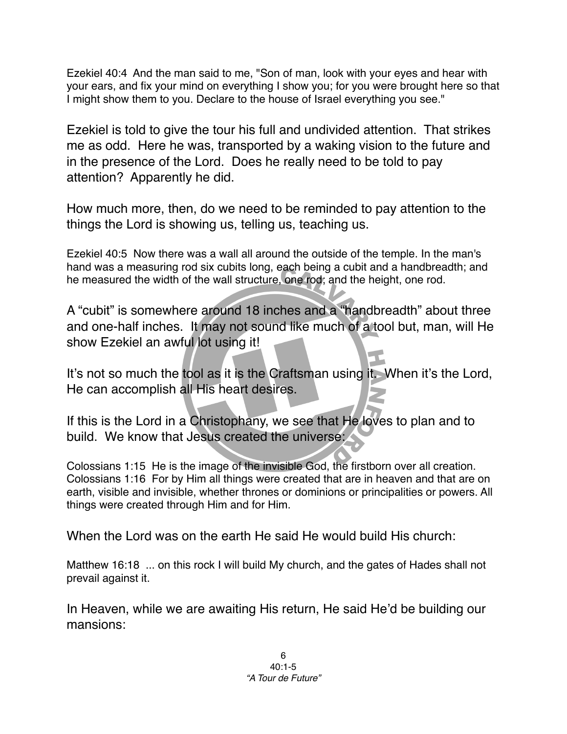Ezekiel 40:4 And the man said to me, "Son of man, look with your eyes and hear with your ears, and fix your mind on everything I show you; for you were brought here so that I might show them to you. Declare to the house of Israel everything you see."

Ezekiel is told to give the tour his full and undivided attention. That strikes me as odd. Here he was, transported by a waking vision to the future and in the presence of the Lord. Does he really need to be told to pay attention? Apparently he did.

How much more, then, do we need to be reminded to pay attention to the things the Lord is showing us, telling us, teaching us.

Ezekiel 40:5 Now there was a wall all around the outside of the temple. In the man's hand was a measuring rod six cubits long, each being a cubit and a handbreadth; and he measured the width of the wall structure, one rod; and the height, one rod.

A "cubit" is somewhere around 18 inches and a "handbreadth" about three and one-half inches. It may not sound like much of a tool but, man, will He show Ezekiel an awful lot using it!

It's not so much the tool as it is the Craftsman using it. When it's the Lord, He can accomplish all His heart desires.

If this is the Lord in a Christophany, we see that He loves to plan and to build. We know that Jesus created the universe:

Colossians 1:15 He is the image of the invisible God, the firstborn over all creation. Colossians 1:16 For by Him all things were created that are in heaven and that are on earth, visible and invisible, whether thrones or dominions or principalities or powers. All things were created through Him and for Him.

When the Lord was on the earth He said He would build His church:

Matthew 16:18 ... on this rock I will build My church, and the gates of Hades shall not prevail against it.

In Heaven, while we are awaiting His return, He said He'd be building our mansions: